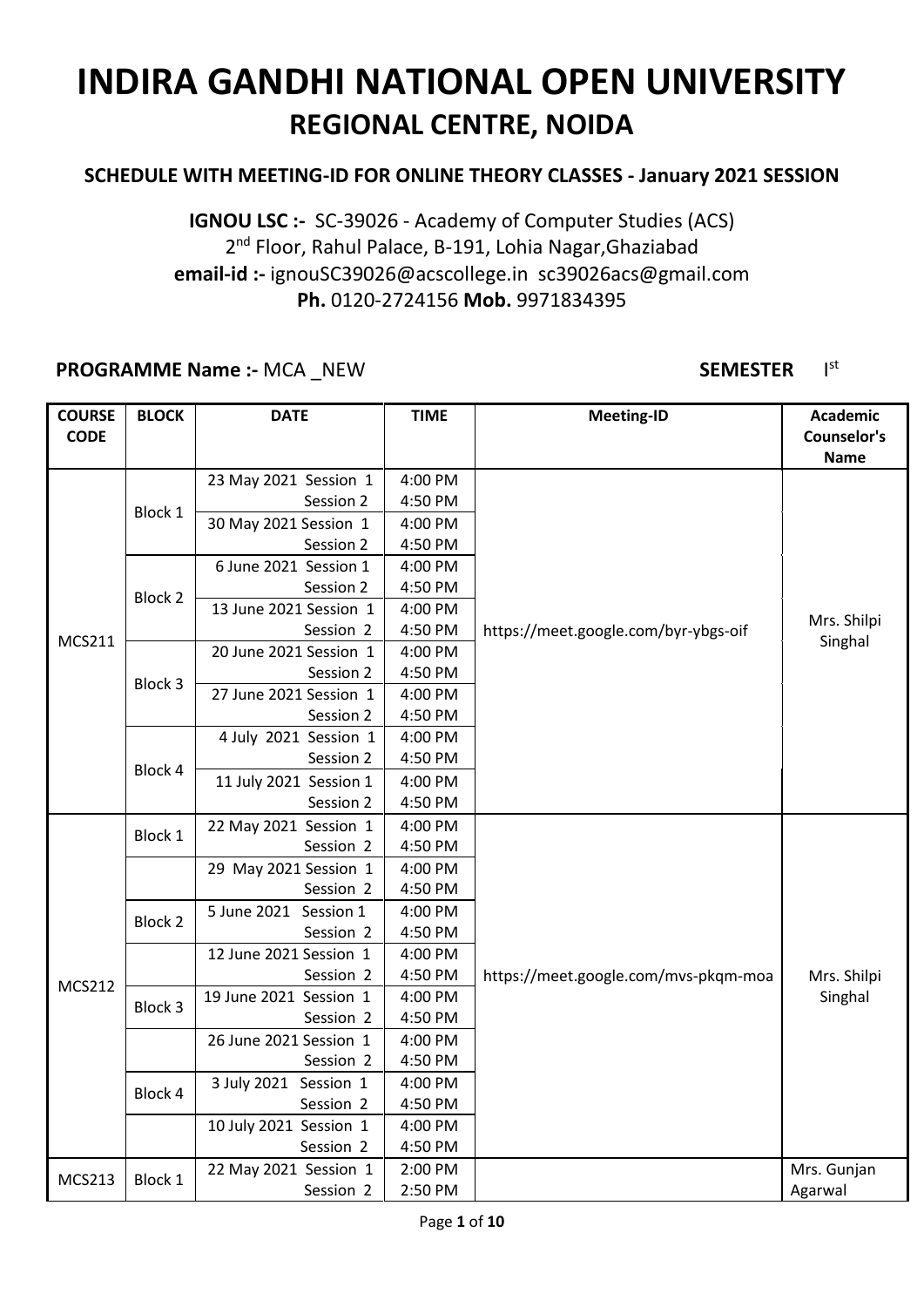#### **SCHEDULE WITH MEETING-ID FOR ONLINE THEORY CLASSES - January 2021 SESSION**

**IGNOU LSC :-** SC-39026 - Academy of Computer Studies (ACS) 2<sup>nd</sup> Floor, Rahul Palace, B-191, Lohia Nagar, Ghaziabad **email-id :-** ignouSC39026@acscollege.in sc39026acs@gmail.com **Ph.** 0120-2724156 **Mob.** 9971834395

#### **PROGRAMME Name :-** MCA \_NEW **SEMESTER** I

#### st

| <b>COURSE</b><br><b>CODE</b> | <b>BLOCK</b>   | <b>DATE</b>            | <b>TIME</b> | <b>Meeting-ID</b>                    | <b>Academic</b><br>Counselor's<br><b>Name</b> |
|------------------------------|----------------|------------------------|-------------|--------------------------------------|-----------------------------------------------|
|                              |                | 23 May 2021 Session 1  | 4:00 PM     |                                      |                                               |
|                              |                | Session 2              | 4:50 PM     |                                      |                                               |
|                              | Block 1        | 30 May 2021 Session 1  | 4:00 PM     |                                      |                                               |
|                              |                | Session 2              | 4:50 PM     |                                      |                                               |
|                              |                | 6 June 2021 Session 1  | 4:00 PM     |                                      |                                               |
|                              | <b>Block 2</b> | Session 2              | 4:50 PM     |                                      |                                               |
|                              |                | 13 June 2021 Session 1 | 4:00 PM     |                                      |                                               |
|                              |                | Session 2              | 4:50 PM     | https://meet.google.com/byr-ybgs-oif | Mrs. Shilpi                                   |
| <b>MCS211</b>                |                | 20 June 2021 Session 1 | 4:00 PM     |                                      | Singhal                                       |
|                              | Block 3        | Session 2              | 4:50 PM     |                                      |                                               |
|                              |                | 27 June 2021 Session 1 | 4:00 PM     |                                      |                                               |
|                              |                | Session 2              | 4:50 PM     |                                      |                                               |
|                              |                | 4 July 2021 Session 1  | 4:00 PM     |                                      |                                               |
|                              | Block 4        | Session 2              | 4:50 PM     |                                      |                                               |
|                              |                | 11 July 2021 Session 1 | 4:00 PM     |                                      |                                               |
|                              |                | Session 2              | 4:50 PM     |                                      |                                               |
|                              | Block 1        | 22 May 2021 Session 1  | 4:00 PM     |                                      |                                               |
|                              |                | Session 2              | 4:50 PM     |                                      |                                               |
|                              |                | 29 May 2021 Session 1  | 4:00 PM     |                                      |                                               |
|                              |                | Session 2              | 4:50 PM     |                                      |                                               |
|                              | <b>Block 2</b> | 5 June 2021 Session 1  | 4:00 PM     |                                      |                                               |
|                              |                | Session 2              | 4:50 PM     |                                      |                                               |
|                              |                | 12 June 2021 Session 1 | 4:00 PM     |                                      |                                               |
| <b>MCS212</b>                |                | Session 2              | 4:50 PM     | https://meet.google.com/mvs-pkqm-moa | Mrs. Shilpi                                   |
|                              | Block 3        | 19 June 2021 Session 1 | 4:00 PM     |                                      | Singhal                                       |
|                              |                | Session 2              | 4:50 PM     |                                      |                                               |
|                              |                | 26 June 2021 Session 1 | 4:00 PM     |                                      |                                               |
|                              |                | Session 2              | 4:50 PM     |                                      |                                               |
|                              | Block 4        | 3 July 2021 Session 1  | 4:00 PM     |                                      |                                               |
|                              |                | Session 2              | 4:50 PM     |                                      |                                               |
|                              |                | 10 July 2021 Session 1 | 4:00 PM     |                                      |                                               |
|                              |                | Session 2              | 4:50 PM     |                                      |                                               |
| <b>MCS213</b>                | Block 1        | 22 May 2021 Session 1  | 2:00 PM     |                                      | Mrs. Gunjan                                   |
|                              |                | Session 2              | 2:50 PM     |                                      | Agarwal                                       |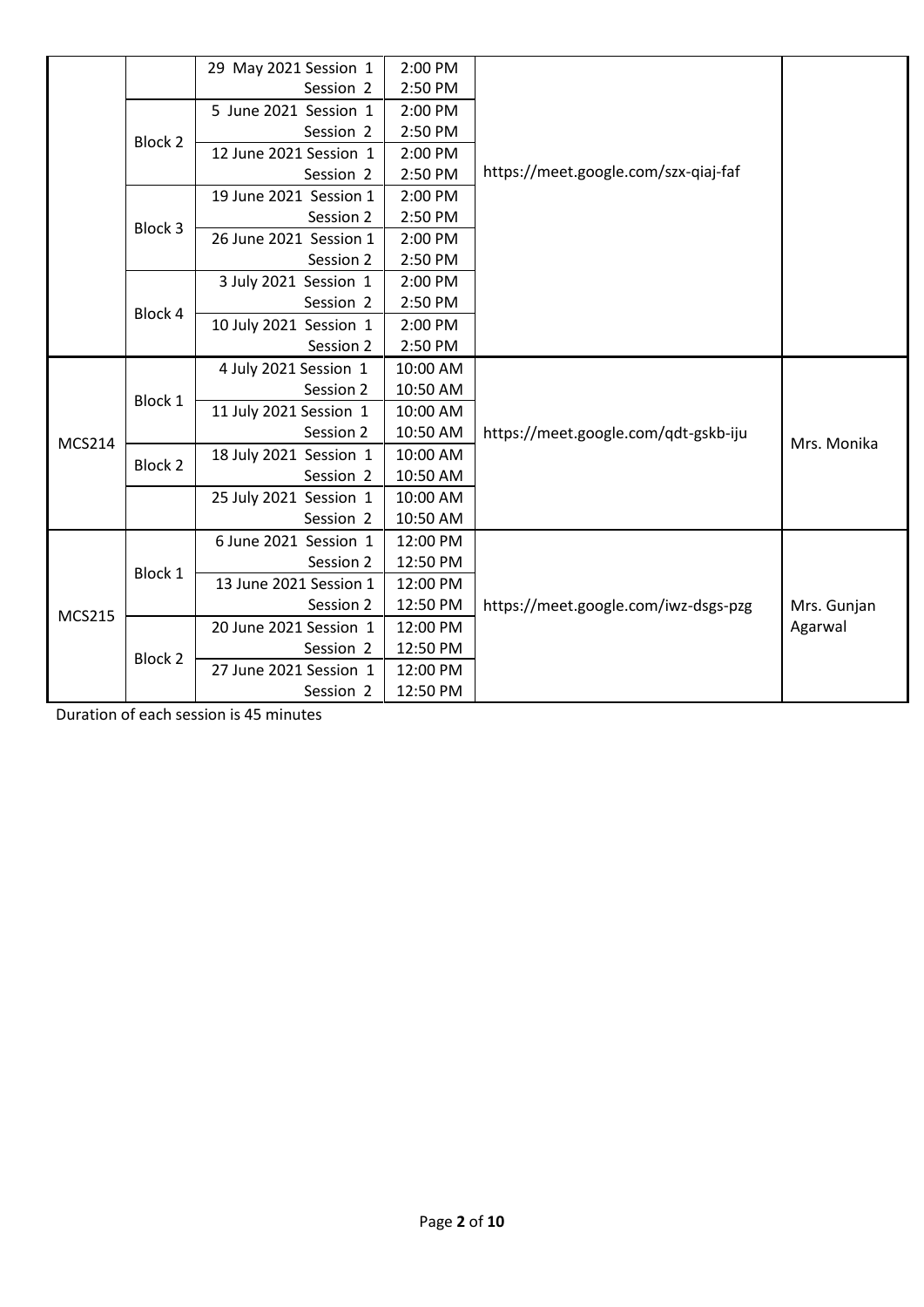|               |         | 29 May 2021 Session 1  | 2:00 PM  |                                      |             |
|---------------|---------|------------------------|----------|--------------------------------------|-------------|
|               |         | Session 2              | 2:50 PM  |                                      |             |
|               |         | 5 June 2021 Session 1  | 2:00 PM  |                                      |             |
|               | Block 2 | Session 2              | 2:50 PM  |                                      |             |
|               |         | 12 June 2021 Session 1 | 2:00 PM  |                                      |             |
|               |         | Session 2              | 2:50 PM  | https://meet.google.com/szx-qiaj-faf |             |
|               |         | 19 June 2021 Session 1 | 2:00 PM  |                                      |             |
|               | Block 3 | Session 2              | 2:50 PM  |                                      |             |
|               |         | 26 June 2021 Session 1 | 2:00 PM  |                                      |             |
|               |         | Session 2              | 2:50 PM  |                                      |             |
|               |         | 3 July 2021 Session 1  | 2:00 PM  |                                      |             |
|               | Block 4 | Session 2              | 2:50 PM  |                                      |             |
|               |         | 10 July 2021 Session 1 | 2:00 PM  |                                      |             |
|               |         | Session 2              | 2:50 PM  |                                      |             |
|               |         | 4 July 2021 Session 1  | 10:00 AM |                                      |             |
|               | Block 1 | Session 2              | 10:50 AM |                                      |             |
|               |         | 11 July 2021 Session 1 | 10:00 AM |                                      |             |
| <b>MCS214</b> |         | Session 2              | 10:50 AM | https://meet.google.com/qdt-gskb-iju | Mrs. Monika |
|               | Block 2 | 18 July 2021 Session 1 | 10:00 AM |                                      |             |
|               |         | Session 2              | 10:50 AM |                                      |             |
|               |         | 25 July 2021 Session 1 | 10:00 AM |                                      |             |
|               |         | Session 2              | 10:50 AM |                                      |             |
|               |         | 6 June 2021 Session 1  | 12:00 PM |                                      |             |
|               | Block 1 | Session 2              | 12:50 PM |                                      |             |
|               |         | 13 June 2021 Session 1 | 12:00 PM |                                      |             |
| <b>MCS215</b> |         | Session 2              | 12:50 PM | https://meet.google.com/iwz-dsgs-pzg | Mrs. Gunjan |
|               |         | 20 June 2021 Session 1 | 12:00 PM |                                      | Agarwal     |
|               | Block 2 | Session 2              | 12:50 PM |                                      |             |
|               |         | 27 June 2021 Session 1 | 12:00 PM |                                      |             |
|               |         | Session 2              | 12:50 PM |                                      |             |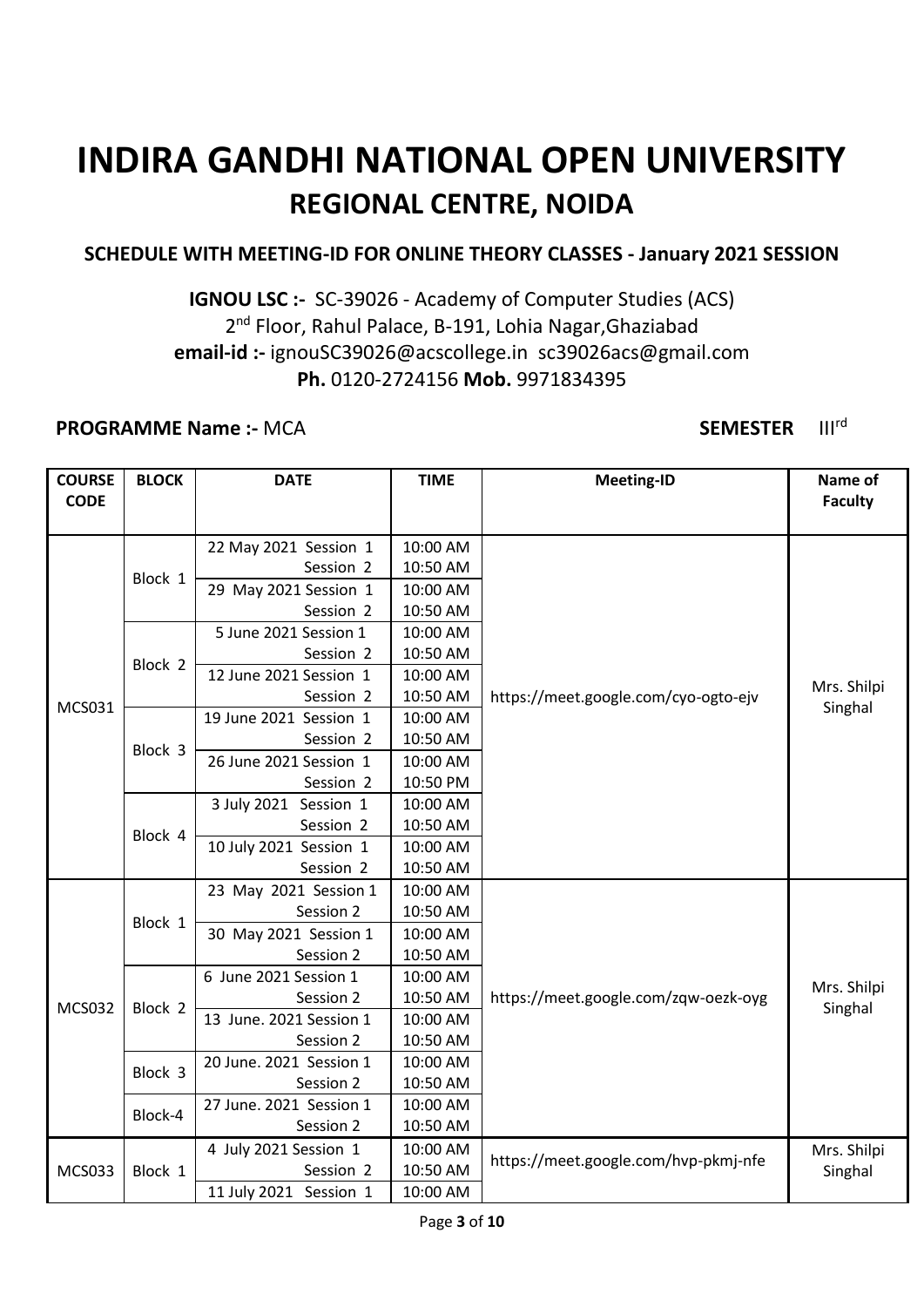#### **SCHEDULE WITH MEETING-ID FOR ONLINE THEORY CLASSES - January 2021 SESSION**

### **IGNOU LSC :-** SC-39026 - Academy of Computer Studies (ACS) 2<sup>nd</sup> Floor, Rahul Palace, B-191, Lohia Nagar, Ghaziabad **email-id :-** ignouSC39026@acscollege.in sc39026acs@gmail.com **Ph.** 0120-2724156 **Mob.** 9971834395

#### **PROGRAMME Name :- MCA SEMESTER** III<sup>rd</sup>

| <b>COURSE</b> | <b>BLOCK</b>       | <b>DATE</b>             | <b>TIME</b> | <b>Meeting-ID</b>                    | Name of        |
|---------------|--------------------|-------------------------|-------------|--------------------------------------|----------------|
| <b>CODE</b>   |                    |                         |             |                                      | <b>Faculty</b> |
|               |                    |                         |             |                                      |                |
|               |                    | 22 May 2021 Session 1   | 10:00 AM    |                                      |                |
|               | Block 1            | Session 2               | 10:50 AM    |                                      |                |
|               |                    | 29 May 2021 Session 1   | 10:00 AM    |                                      |                |
|               |                    | Session 2               | 10:50 AM    |                                      |                |
|               |                    | 5 June 2021 Session 1   | 10:00 AM    |                                      |                |
|               | Block <sub>2</sub> | Session 2               | 10:50 AM    |                                      |                |
|               |                    | 12 June 2021 Session 1  | 10:00 AM    |                                      | Mrs. Shilpi    |
| <b>MCS031</b> |                    | Session 2               | 10:50 AM    | https://meet.google.com/cyo-ogto-ejv | Singhal        |
|               |                    | 19 June 2021 Session 1  | 10:00 AM    |                                      |                |
|               | Block 3            | Session 2               | 10:50 AM    |                                      |                |
|               |                    | 26 June 2021 Session 1  | 10:00 AM    |                                      |                |
|               |                    | Session 2               | 10:50 PM    |                                      |                |
|               | Block 4            | 3 July 2021 Session 1   | 10:00 AM    |                                      |                |
|               |                    | Session 2               | 10:50 AM    |                                      |                |
|               |                    | 10 July 2021 Session 1  | 10:00 AM    |                                      |                |
|               |                    | Session 2               | 10:50 AM    |                                      |                |
|               | Block 1            | 23 May 2021 Session 1   | 10:00 AM    |                                      |                |
|               |                    | Session 2               | 10:50 AM    |                                      |                |
|               |                    | 30 May 2021 Session 1   | 10:00 AM    |                                      |                |
|               |                    | Session 2               | 10:50 AM    |                                      |                |
|               |                    | 6 June 2021 Session 1   | 10:00 AM    |                                      |                |
| <b>MCS032</b> | Block 2            | Session 2               | 10:50 AM    | https://meet.google.com/zqw-oezk-oyg | Mrs. Shilpi    |
|               |                    | 13 June. 2021 Session 1 | 10:00 AM    |                                      | Singhal        |
|               |                    | Session 2               | 10:50 AM    |                                      |                |
|               | Block 3            | 20 June. 2021 Session 1 | 10:00 AM    |                                      |                |
|               |                    | Session 2               | 10:50 AM    |                                      |                |
|               |                    | 27 June. 2021 Session 1 | 10:00 AM    |                                      |                |
|               | Block-4            | Session 2               | 10:50 AM    |                                      |                |
|               |                    | 4 July 2021 Session 1   | 10:00 AM    |                                      | Mrs. Shilpi    |
| <b>MCS033</b> | Block 1            | Session 2               | 10:50 AM    | https://meet.google.com/hvp-pkmj-nfe | Singhal        |
|               |                    | 11 July 2021 Session 1  | 10:00 AM    |                                      |                |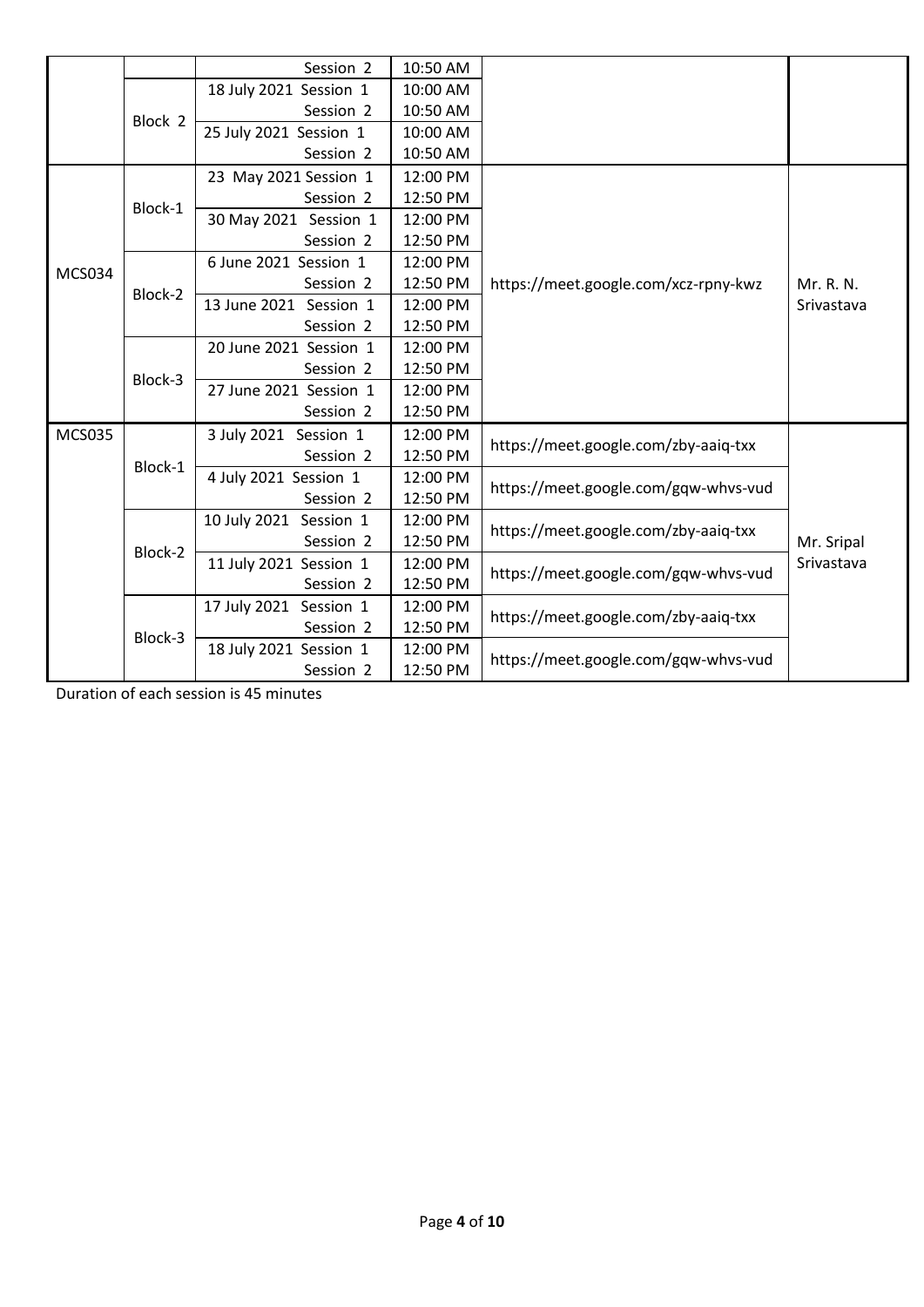|               |         | Session 2              | 10:50 AM |                                      |            |
|---------------|---------|------------------------|----------|--------------------------------------|------------|
|               |         | 18 July 2021 Session 1 | 10:00 AM |                                      |            |
|               | Block 2 | Session 2              | 10:50 AM |                                      |            |
|               |         | 25 July 2021 Session 1 | 10:00 AM |                                      |            |
|               |         | Session 2              | 10:50 AM |                                      |            |
|               |         | 23 May 2021 Session 1  | 12:00 PM |                                      |            |
|               | Block-1 | Session 2              | 12:50 PM |                                      |            |
|               |         | 30 May 2021 Session 1  | 12:00 PM |                                      |            |
|               |         | Session 2              | 12:50 PM |                                      |            |
|               |         | 6 June 2021 Session 1  | 12:00 PM |                                      |            |
| <b>MCS034</b> |         | Session 2              | 12:50 PM | https://meet.google.com/xcz-rpny-kwz | Mr. R. N.  |
|               | Block-2 | 13 June 2021 Session 1 | 12:00 PM |                                      | Srivastava |
|               |         | Session 2              | 12:50 PM |                                      |            |
|               | Block-3 | 20 June 2021 Session 1 | 12:00 PM |                                      |            |
|               |         | Session 2              | 12:50 PM |                                      |            |
|               |         | 27 June 2021 Session 1 | 12:00 PM |                                      |            |
|               |         | Session 2              | 12:50 PM |                                      |            |
| <b>MCS035</b> |         | 3 July 2021 Session 1  | 12:00 PM |                                      |            |
|               | Block-1 | Session 2              | 12:50 PM | https://meet.google.com/zby-aaiq-txx |            |
|               |         | 4 July 2021 Session 1  | 12:00 PM | https://meet.google.com/gqw-whvs-vud |            |
|               |         | Session 2              | 12:50 PM |                                      |            |
|               |         | 10 July 2021 Session 1 | 12:00 PM | https://meet.google.com/zby-aaiq-txx |            |
|               | Block-2 | Session 2              | 12:50 PM |                                      | Mr. Sripal |
|               |         | 11 July 2021 Session 1 | 12:00 PM | https://meet.google.com/gqw-whvs-vud | Srivastava |
|               |         | Session 2              | 12:50 PM |                                      |            |
|               |         | 17 July 2021 Session 1 | 12:00 PM | https://meet.google.com/zby-aaiq-txx |            |
|               | Block-3 | Session 2              | 12:50 PM |                                      |            |
|               |         | 18 July 2021 Session 1 | 12:00 PM | https://meet.google.com/gqw-whvs-vud |            |
|               |         | Session 2              | 12:50 PM |                                      |            |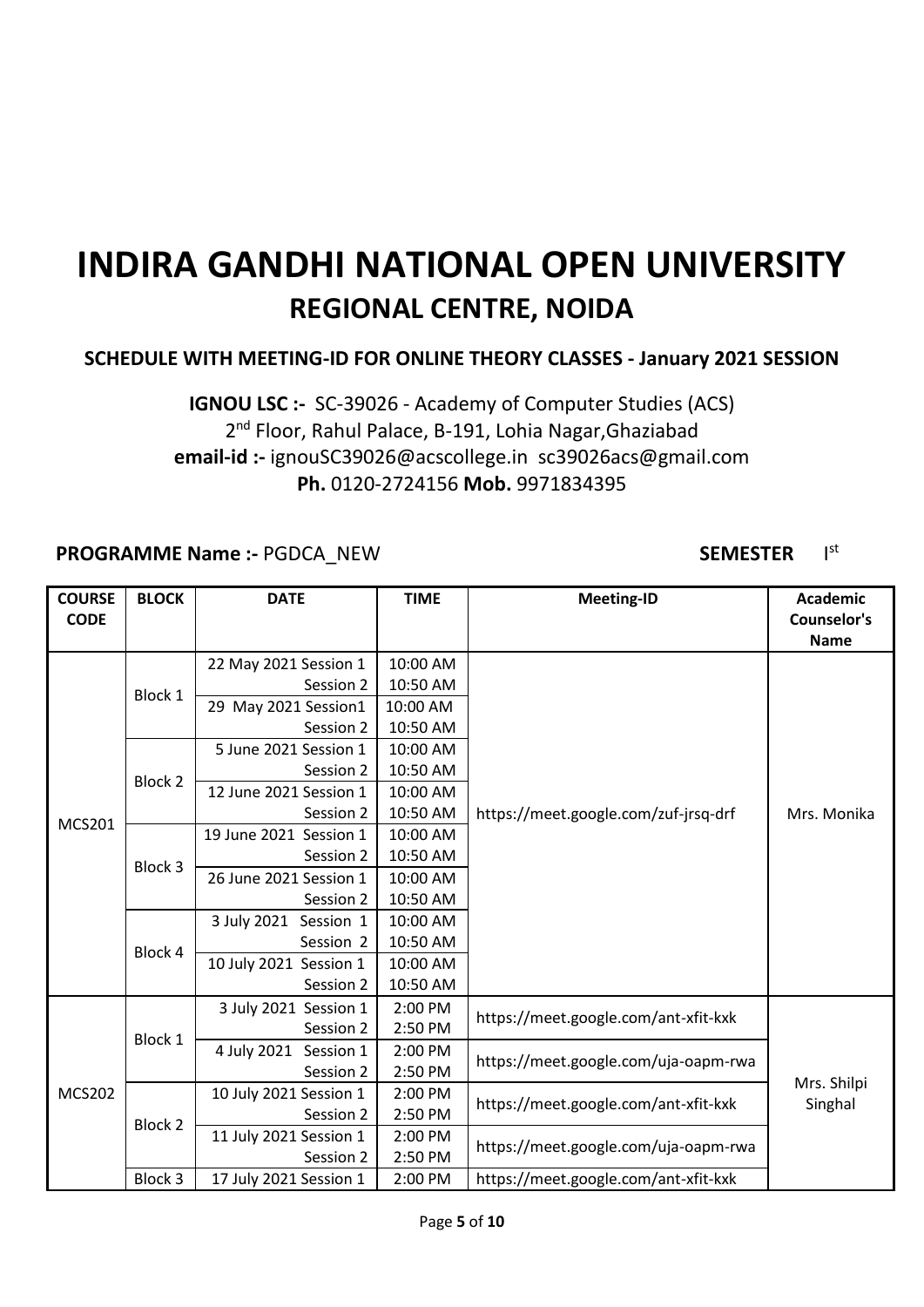#### **SCHEDULE WITH MEETING-ID FOR ONLINE THEORY CLASSES - January 2021 SESSION**

### **IGNOU LSC :-** SC-39026 - Academy of Computer Studies (ACS) 2<sup>nd</sup> Floor, Rahul Palace, B-191, Lohia Nagar, Ghaziabad **email-id :-** ignouSC39026@acscollege.in sc39026acs@gmail.com **Ph.** 0120-2724156 **Mob.** 9971834395

#### **PROGRAMME Name :- PGDCA\_NEW <b>SEMESTER** SEMESTER

#### st

| <b>COURSE</b><br><b>CODE</b> | <b>BLOCK</b> | <b>DATE</b>              | <b>TIME</b> | <b>Meeting-ID</b>                    | <b>Academic</b><br>Counselor's |
|------------------------------|--------------|--------------------------|-------------|--------------------------------------|--------------------------------|
|                              |              |                          |             |                                      | <b>Name</b>                    |
|                              |              | 22 May 2021 Session 1    | 10:00 AM    |                                      |                                |
|                              | Block 1      | Session 2                | 10:50 AM    |                                      |                                |
|                              |              | 29 May 2021 Session1     | 10:00 AM    |                                      |                                |
|                              |              | Session 2                | 10:50 AM    |                                      |                                |
|                              |              | 5 June 2021 Session 1    | 10:00 AM    |                                      |                                |
|                              | Block 2      | Session 2                | 10:50 AM    |                                      |                                |
|                              |              | 12 June 2021 Session 1   | 10:00 AM    |                                      |                                |
| <b>MCS201</b>                |              | Session 2                | 10:50 AM    | https://meet.google.com/zuf-jrsq-drf | Mrs. Monika                    |
|                              | Block 3      | 19 June 2021 Session 1   | 10:00 AM    |                                      |                                |
|                              |              | Session 2                | 10:50 AM    |                                      |                                |
|                              |              | 26 June 2021 Session 1   | 10:00 AM    |                                      |                                |
|                              |              | Session 2                | 10:50 AM    |                                      |                                |
|                              | Block 4      | 3 July 2021<br>Session 1 | 10:00 AM    |                                      |                                |
|                              |              | Session 2                | 10:50 AM    |                                      |                                |
|                              |              | 10 July 2021 Session 1   | 10:00 AM    |                                      |                                |
|                              |              | Session 2                | 10:50 AM    |                                      |                                |
|                              |              | 3 July 2021 Session 1    | 2:00 PM     | https://meet.google.com/ant-xfit-kxk |                                |
|                              | Block 1      | Session 2                | 2:50 PM     |                                      |                                |
|                              |              | 4 July 2021 Session 1    | 2:00 PM     | https://meet.google.com/uja-oapm-rwa |                                |
|                              |              | Session 2                | 2:50 PM     |                                      |                                |
| <b>MCS202</b>                |              | 10 July 2021 Session 1   | 2:00 PM     | https://meet.google.com/ant-xfit-kxk | Mrs. Shilpi                    |
|                              | Block 2      | Session 2                | 2:50 PM     |                                      | Singhal                        |
|                              |              | 11 July 2021 Session 1   | 2:00 PM     | https://meet.google.com/uja-oapm-rwa |                                |
|                              |              | Session 2                | 2:50 PM     |                                      |                                |
|                              | Block 3      | 17 July 2021 Session 1   | $2:00$ PM   | https://meet.google.com/ant-xfit-kxk |                                |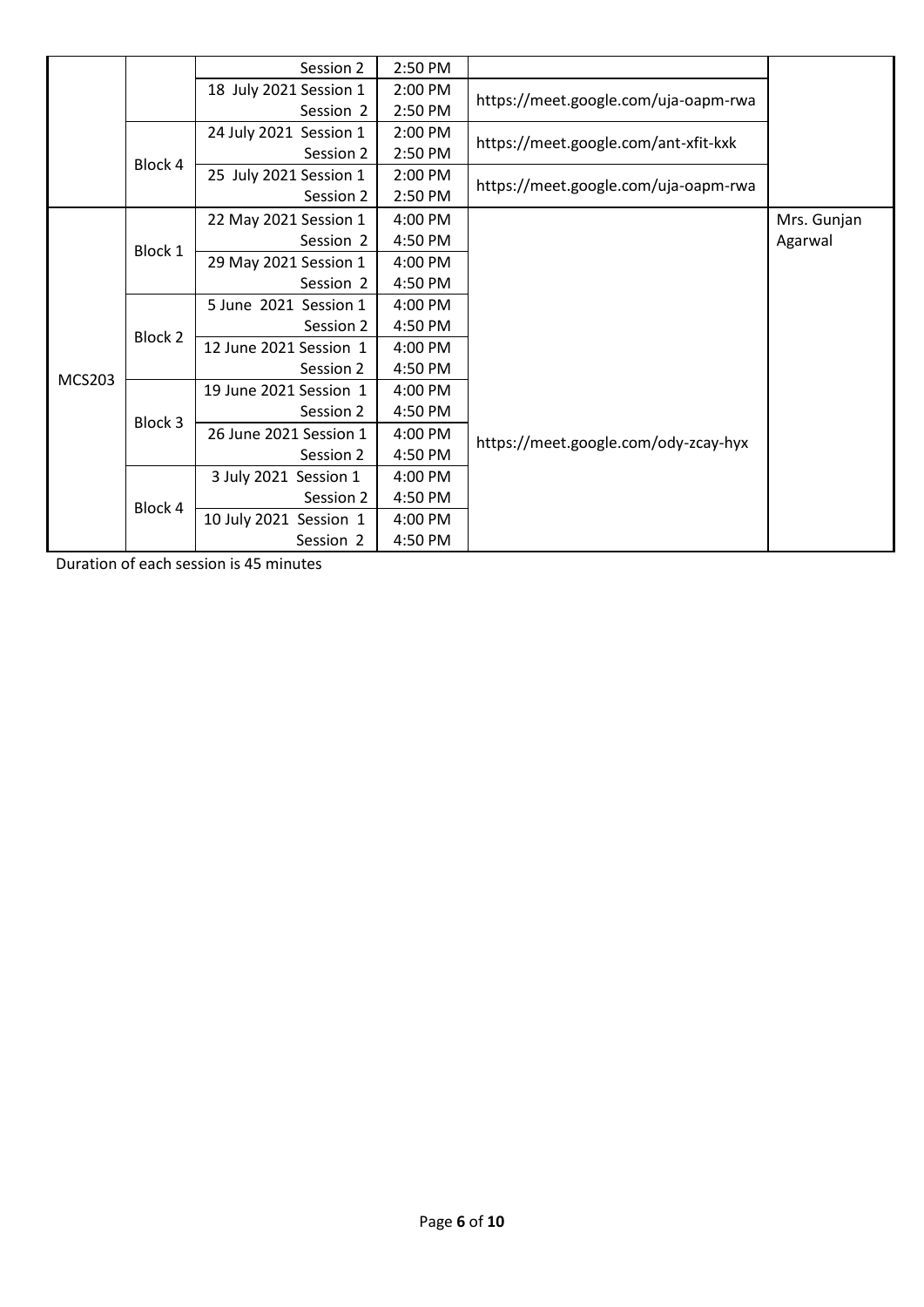|               |         | Session 2              | 2:50 PM |                                      |             |
|---------------|---------|------------------------|---------|--------------------------------------|-------------|
|               |         | 18 July 2021 Session 1 | 2:00 PM | https://meet.google.com/uja-oapm-rwa |             |
|               |         | Session 2              | 2:50 PM |                                      |             |
|               |         | 24 July 2021 Session 1 | 2:00 PM | https://meet.google.com/ant-xfit-kxk |             |
|               |         | Session 2              | 2:50 PM |                                      |             |
|               | Block 4 | 25 July 2021 Session 1 | 2:00 PM | https://meet.google.com/uja-oapm-rwa |             |
|               |         | Session 2              | 2:50 PM |                                      |             |
|               |         | 22 May 2021 Session 1  | 4:00 PM |                                      | Mrs. Gunjan |
|               | Block 1 | Session 2              | 4:50 PM |                                      | Agarwal     |
|               |         | 29 May 2021 Session 1  | 4:00 PM |                                      |             |
|               |         | Session 2              | 4:50 PM |                                      |             |
|               | Block 2 | 5 June 2021 Session 1  | 4:00 PM |                                      |             |
|               |         | Session 2              | 4:50 PM |                                      |             |
|               |         | 12 June 2021 Session 1 | 4:00 PM |                                      |             |
| <b>MCS203</b> |         | Session 2              | 4:50 PM |                                      |             |
|               |         | 19 June 2021 Session 1 | 4:00 PM |                                      |             |
|               | Block 3 | Session 2              | 4:50 PM |                                      |             |
|               |         | 26 June 2021 Session 1 | 4:00 PM | https://meet.google.com/ody-zcay-hyx |             |
|               |         | Session 2              | 4:50 PM |                                      |             |
|               |         | 3 July 2021 Session 1  | 4:00 PM |                                      |             |
|               | Block 4 | Session 2              | 4:50 PM |                                      |             |
|               |         | 10 July 2021 Session 1 | 4:00 PM |                                      |             |
|               |         | Session 2              | 4:50 PM |                                      |             |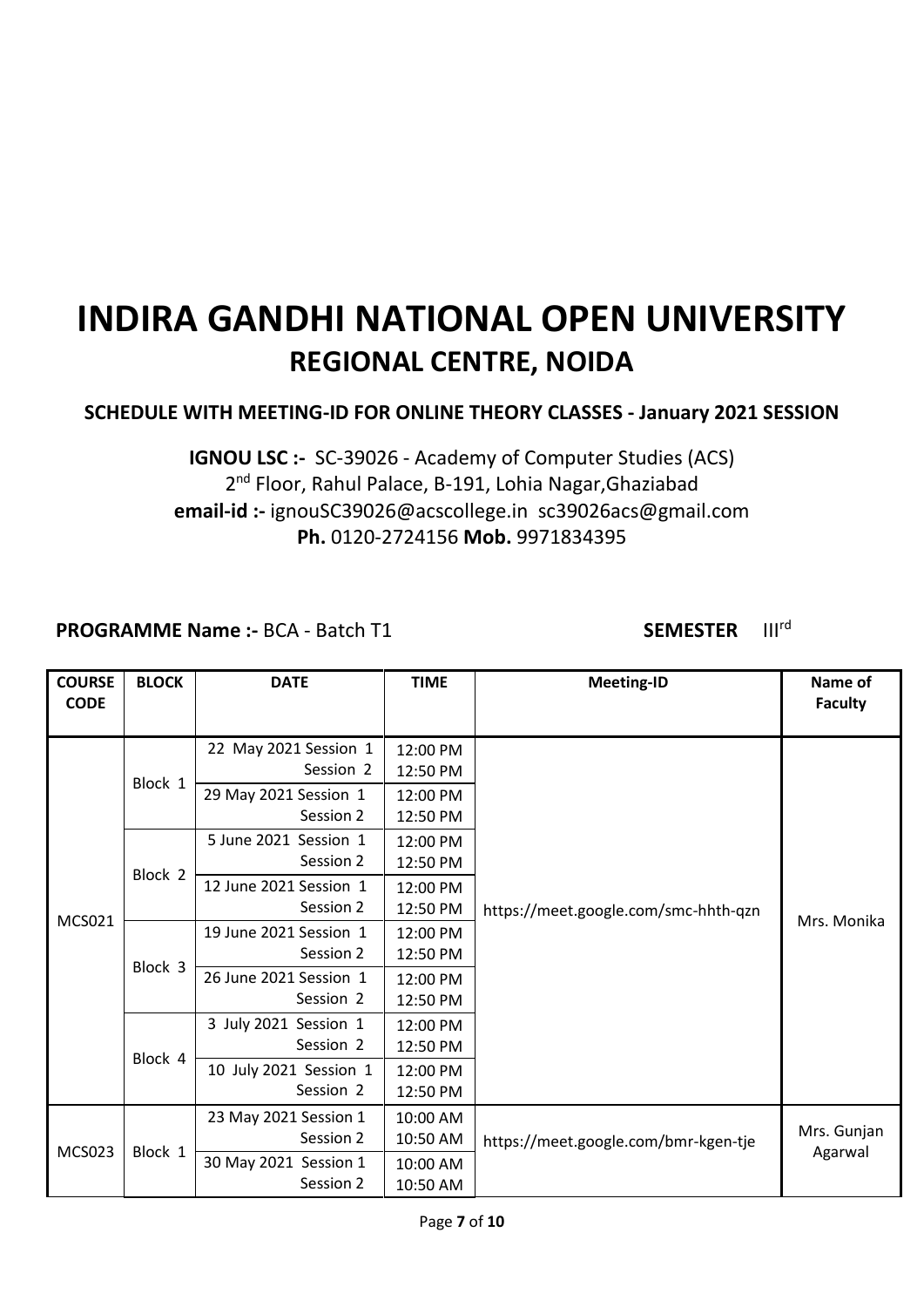### **SCHEDULE WITH MEETING-ID FOR ONLINE THEORY CLASSES - January 2021 SESSION**

**IGNOU LSC :-** SC-39026 - Academy of Computer Studies (ACS) 2<sup>nd</sup> Floor, Rahul Palace, B-191, Lohia Nagar, Ghaziabad **email-id :-** ignouSC39026@acscollege.in sc39026acs@gmail.com **Ph.** 0120-2724156 **Mob.** 9971834395

**PROGRAMME Name :- BCA - Batch T1 <b>SEMESTER** III<sup>rd</sup>

| <b>COURSE</b><br><b>CODE</b> | <b>BLOCK</b> | <b>DATE</b>                         | <b>TIME</b>          | <b>Meeting-ID</b>                    | Name of<br><b>Faculty</b> |
|------------------------------|--------------|-------------------------------------|----------------------|--------------------------------------|---------------------------|
|                              | Block 1      | 22 May 2021 Session 1<br>Session 2  | 12:00 PM<br>12:50 PM |                                      | Mrs. Monika               |
|                              |              | 29 May 2021 Session 1<br>Session 2  | 12:00 PM<br>12:50 PM |                                      |                           |
|                              |              | 5 June 2021 Session 1<br>Session 2  | 12:00 PM<br>12:50 PM |                                      |                           |
|                              | Block 2      | 12 June 2021 Session 1<br>Session 2 | 12:00 PM<br>12:50 PM | https://meet.google.com/smc-hhth-qzn |                           |
| <b>MCS021</b>                | Block 3      | 19 June 2021 Session 1<br>Session 2 | 12:00 PM<br>12:50 PM |                                      |                           |
|                              |              | 26 June 2021 Session 1<br>Session 2 | 12:00 PM<br>12:50 PM |                                      |                           |
|                              | Block 4      | 3 July 2021 Session 1<br>Session 2  | 12:00 PM<br>12:50 PM |                                      |                           |
|                              |              | 10 July 2021 Session 1<br>Session 2 | 12:00 PM<br>12:50 PM |                                      |                           |
|                              |              | 23 May 2021 Session 1<br>Session 2  | 10:00 AM<br>10:50 AM | https://meet.google.com/bmr-kgen-tje | Mrs. Gunjan               |
| <b>MCS023</b>                | Block 1      | 30 May 2021 Session 1<br>Session 2  | 10:00 AM<br>10:50 AM |                                      | Agarwal                   |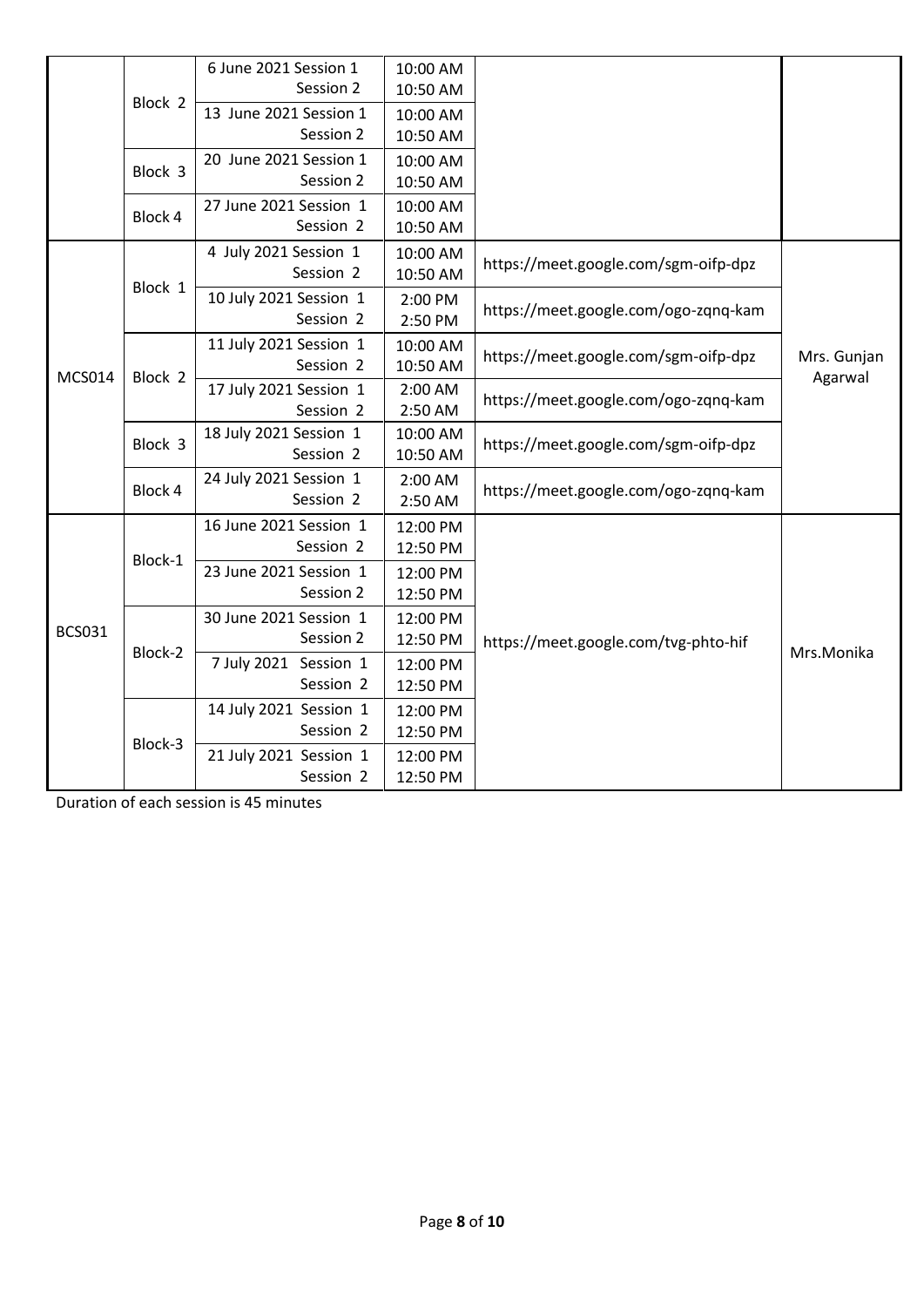|               |         | 6 June 2021 Session 1  | 10:00 AM |                                      |                        |
|---------------|---------|------------------------|----------|--------------------------------------|------------------------|
|               | Block 2 | Session 2              | 10:50 AM |                                      |                        |
|               |         | 13 June 2021 Session 1 | 10:00 AM |                                      |                        |
|               |         | Session 2              | 10:50 AM |                                      |                        |
|               | Block 3 | 20 June 2021 Session 1 | 10:00 AM |                                      |                        |
|               |         | Session 2              | 10:50 AM |                                      |                        |
|               | Block 4 | 27 June 2021 Session 1 | 10:00 AM |                                      |                        |
|               |         | Session 2              | 10:50 AM |                                      |                        |
|               |         | 4 July 2021 Session 1  | 10:00 AM |                                      |                        |
|               | Block 1 | Session 2              | 10:50 AM | https://meet.google.com/sgm-oifp-dpz |                        |
|               |         | 10 July 2021 Session 1 | 2:00 PM  |                                      |                        |
|               |         | Session 2              | 2:50 PM  | https://meet.google.com/ogo-zqnq-kam |                        |
|               |         | 11 July 2021 Session 1 | 10:00 AM | https://meet.google.com/sgm-oifp-dpz |                        |
| <b>MCS014</b> | Block 2 | Session 2              | 10:50 AM |                                      | Mrs. Gunjan<br>Agarwal |
|               |         | 17 July 2021 Session 1 | 2:00 AM  | https://meet.google.com/ogo-zqnq-kam |                        |
|               |         | Session 2              | 2:50 AM  |                                      |                        |
|               | Block 3 | 18 July 2021 Session 1 | 10:00 AM | https://meet.google.com/sgm-oifp-dpz |                        |
|               |         | Session 2              | 10:50 AM |                                      |                        |
|               | Block 4 | 24 July 2021 Session 1 | 2:00 AM  | https://meet.google.com/ogo-zqnq-kam |                        |
|               |         | Session 2              | 2:50 AM  |                                      |                        |
|               |         | 16 June 2021 Session 1 | 12:00 PM |                                      |                        |
|               | Block-1 | Session 2              | 12:50 PM |                                      |                        |
|               |         | 23 June 2021 Session 1 | 12:00 PM |                                      |                        |
|               |         | Session 2              | 12:50 PM |                                      |                        |
| <b>BCS031</b> |         | 30 June 2021 Session 1 | 12:00 PM |                                      |                        |
|               | Block-2 | Session 2              | 12:50 PM | https://meet.google.com/tvg-phto-hif | Mrs.Monika             |
|               |         | 7 July 2021 Session 1  | 12:00 PM |                                      |                        |
|               |         | Session 2              | 12:50 PM |                                      |                        |
|               |         | 14 July 2021 Session 1 | 12:00 PM |                                      |                        |
|               | Block-3 | Session 2              | 12:50 PM |                                      |                        |
|               |         | 21 July 2021 Session 1 | 12:00 PM |                                      |                        |
|               |         | Session 2              | 12:50 PM |                                      |                        |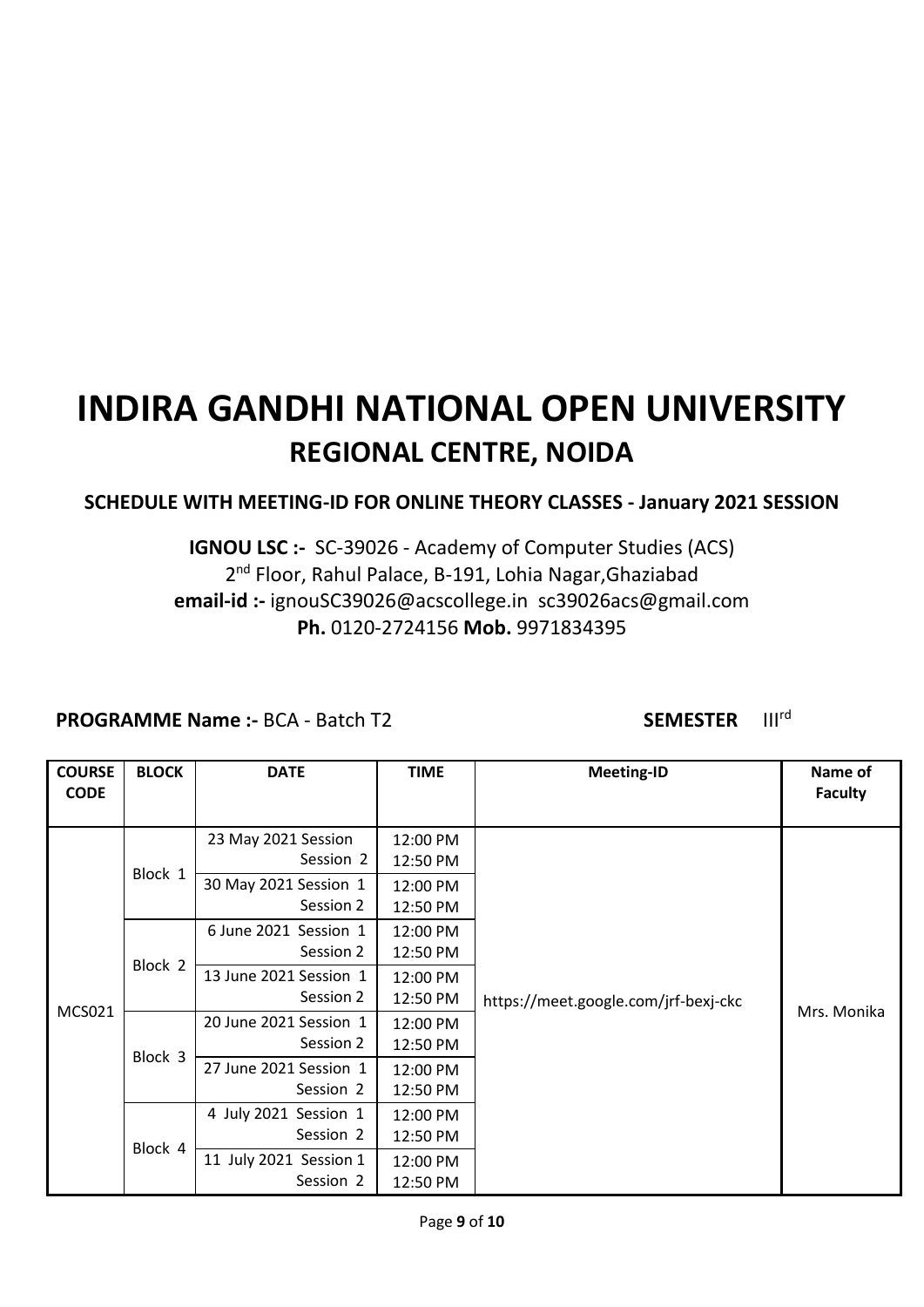### **SCHEDULE WITH MEETING-ID FOR ONLINE THEORY CLASSES - January 2021 SESSION**

### **IGNOU LSC :-** SC-39026 - Academy of Computer Studies (ACS) 2<sup>nd</sup> Floor, Rahul Palace, B-191, Lohia Nagar, Ghaziabad **email-id :-** ignouSC39026@acscollege.in sc39026acs@gmail.com **Ph.** 0120-2724156 **Mob.** 9971834395

#### **PROGRAMME Name :- BCA - Batch T2 SEMESTER** III<sup>rd</sup>

| <b>COURSE</b><br><b>CODE</b> | <b>BLOCK</b> | <b>DATE</b>                         | <b>TIME</b>          | <b>Meeting-ID</b>                    | Name of<br><b>Faculty</b> |
|------------------------------|--------------|-------------------------------------|----------------------|--------------------------------------|---------------------------|
|                              |              | 23 May 2021 Session<br>Session 2    | 12:00 PM<br>12:50 PM |                                      |                           |
|                              | Block 1      | 30 May 2021 Session 1<br>Session 2  | 12:00 PM<br>12:50 PM |                                      |                           |
|                              | Block 2      | 6 June 2021 Session 1<br>Session 2  | 12:00 PM<br>12:50 PM |                                      |                           |
| <b>MCS021</b>                |              | 13 June 2021 Session 1<br>Session 2 | 12:00 PM<br>12:50 PM | https://meet.google.com/jrf-bexj-ckc |                           |
|                              | Block 3      | 20 June 2021 Session 1<br>Session 2 | 12:00 PM<br>12:50 PM |                                      | Mrs. Monika               |
|                              |              | 27 June 2021 Session 1<br>Session 2 | 12:00 PM<br>12:50 PM |                                      |                           |
|                              |              | 4 July 2021 Session 1<br>Session 2  | 12:00 PM<br>12:50 PM |                                      |                           |
|                              | Block 4      | 11 July 2021 Session 1<br>Session 2 | 12:00 PM<br>12:50 PM |                                      |                           |